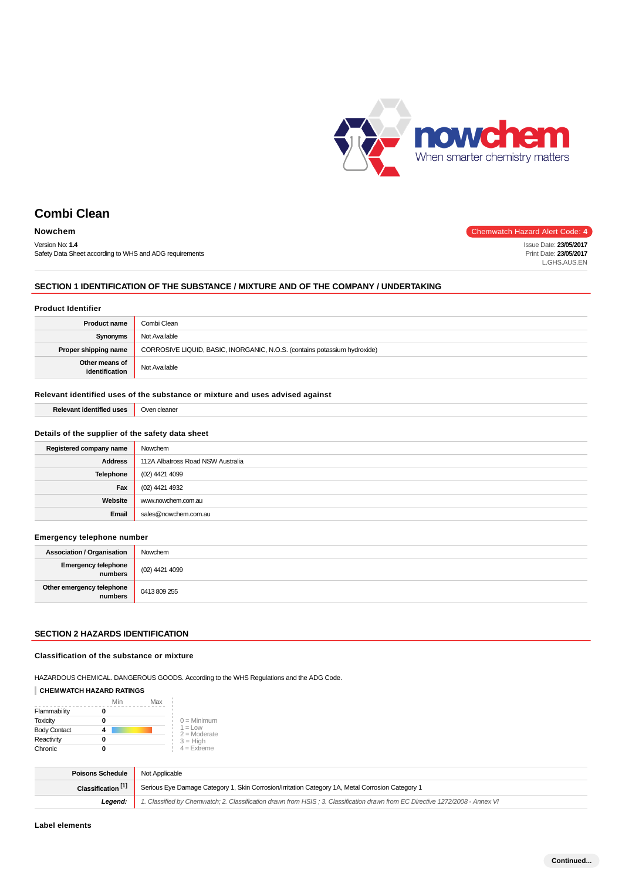

# **Combi Clean**

| <b>Nowchem</b>                                          | Chemwatch Hazard Alert Code: 4 |
|---------------------------------------------------------|--------------------------------|
| Version No: 1.4                                         | Issue Date: 23/05/2017         |
| Safety Data Sheet according to WHS and ADG requirements | Print Date: 23/05/2017         |
|                                                         | L.GHS.AUS.EN                   |

### **SECTION 1 IDENTIFICATION OF THE SUBSTANCE / MIXTURE AND OF THE COMPANY / UNDERTAKING**

#### **Product Identifier**

| <b>Product name</b>              | Combi Clean                                                               |  |
|----------------------------------|---------------------------------------------------------------------------|--|
| Synonyms                         | Not Available                                                             |  |
| Proper shipping name             | CORROSIVE LIQUID, BASIC, INORGANIC, N.O.S. (contains potassium hydroxide) |  |
| Other means of<br>identification | Not Available                                                             |  |

### **Relevant identified uses of the substance or mixture and uses advised against**

| <b>Relevant identified uses</b> | Oven cleaner |
|---------------------------------|--------------|
|                                 |              |

### **Details of the supplier of the safety data sheet**

| Registered company name | Nowchem                           |
|-------------------------|-----------------------------------|
| <b>Address</b>          | 112A Albatross Road NSW Australia |
| <b>Telephone</b>        | (02) 4421 4099                    |
| Fax                     | (02) 4421 4932                    |
| Website                 | www.nowchem.com.au                |
| Email                   | sales@nowchem.com.au              |
|                         |                                   |

#### **Emergency telephone number**

| <b>Association / Organisation</b>     | Nowchem        |
|---------------------------------------|----------------|
| <b>Emergency telephone</b><br>numbers | (02) 4421 4099 |
| Other emergency telephone<br>numbers  | 0413809255     |

#### **SECTION 2 HAZARDS IDENTIFICATION**

#### **Classification of the substance or mixture**

HAZARDOUS CHEMICAL. DANGEROUS GOODS. According to the WHS Regulations and the ADG Code.

### **CHEMWATCH HAZARD RATINGS**

|                     | Min | Max |                              |
|---------------------|-----|-----|------------------------------|
| Flammability        |     |     |                              |
| <b>Toxicity</b>     |     |     | $0 =$ Minimum                |
| <b>Body Contact</b> |     |     | $1 = 1$ OW<br>$2 =$ Moderate |
| Reactivity          |     |     | $3 = High$                   |
| Chronic             |     |     | $4 =$ Extreme                |

| Poisons Schedule              | Not Applicable                                                                                                                |  |
|-------------------------------|-------------------------------------------------------------------------------------------------------------------------------|--|
| Classification <sup>[1]</sup> | Serious Eye Damage Category 1, Skin Corrosion/Irritation Category 1A, Metal Corrosion Category 1                              |  |
| Leaend:                       | 1. Classified by Chemwatch: 2. Classification drawn from HSIS: 3. Classification drawn from EC Directive 1272/2008 - Annex VI |  |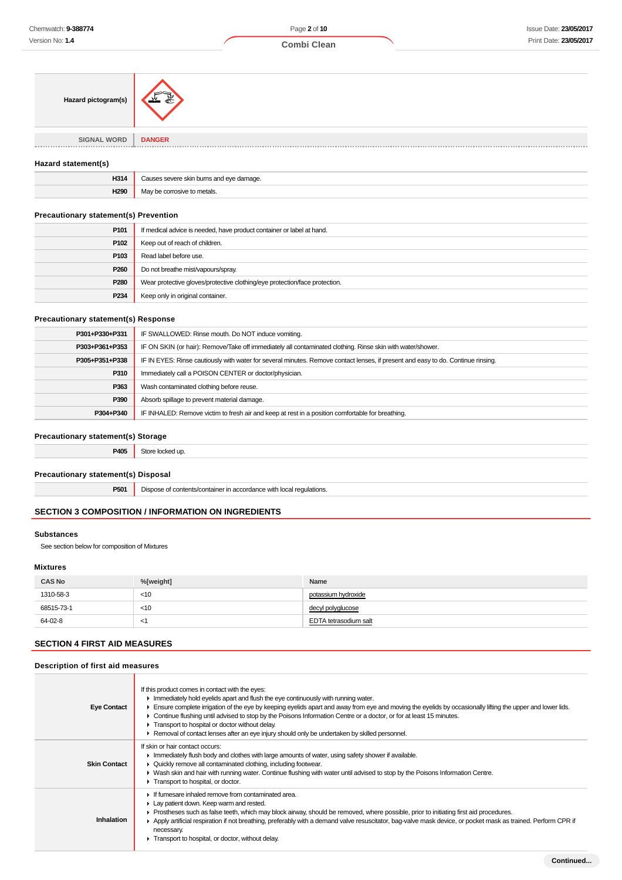| Hazard pictogram(s)                                  | 系             |
|------------------------------------------------------|---------------|
|                                                      |               |
| SIGNAL WORD  <br><b><i>B B B B B B B B B B B</i></b> | <b>DANGER</b> |
|                                                      |               |

#### **Hazard statement(s)**

| H314<br>___     | aade<br>$\sim$ |
|-----------------|----------------|
|                 | $\sim$         |
| H <sub>29</sub> | metals         |
|                 |                |

### **Precautionary statement(s) Prevention**

| P101             | If medical advice is needed, have product container or label at hand.      |  |
|------------------|----------------------------------------------------------------------------|--|
| P102             | Keep out of reach of children.                                             |  |
| P103             | Read label before use.                                                     |  |
| P260             | Do not breathe mist/vapours/spray.                                         |  |
| P280             | Wear protective gloves/protective clothing/eye protection/face protection. |  |
| P <sub>234</sub> | Keep only in original container.                                           |  |

#### **Precautionary statement(s) Response**

| P301+P330+P331 | IF SWALLOWED: Rinse mouth. Do NOT induce vomiting.                                                                               |
|----------------|----------------------------------------------------------------------------------------------------------------------------------|
| P303+P361+P353 | IF ON SKIN (or hair): Remove/Take off immediately all contaminated clothing. Rinse skin with water/shower.                       |
| P305+P351+P338 | IF IN EYES: Rinse cautiously with water for several minutes. Remove contact lenses, if present and easy to do. Continue rinsing. |
| P310           | Immediately call a POISON CENTER or doctor/physician.                                                                            |
| P363           | Wash contaminated clothing before reuse.                                                                                         |
| P390           | Absorb spillage to prevent material damage.                                                                                      |
| P304+P340      | IF INHALED: Remove victim to fresh air and keep at rest in a position comfortable for breathing.                                 |

#### **Precautionary statement(s) Storage**

**P405** Store locked up.

**Precautionary statement(s) Disposal**

**P501** Dispose of contents/container in accordance with local regulations.

### **SECTION 3 COMPOSITION / INFORMATION ON INGREDIENTS**

### **Substances**

See section below for composition of Mixtures

### **Mixtures**

| <b>CAS No</b> | %[weight] | Name                  |
|---------------|-----------|-----------------------|
| 1310-58-3     | $<$ 10    | potassium hydroxide   |
| 68515-73-1    | $<$ 10    | decyl polyglucose     |
| 64-02-8       | $\prec$ . | EDTA tetrasodium salt |

### **SECTION 4 FIRST AID MEASURES**

#### **Description of first aid measures**

| <b>Eye Contact</b>  | If this product comes in contact with the eyes:<br>In mediately hold eyelids apart and flush the eye continuously with running water.<br>Ensure complete irrigation of the eye by keeping eyelids apart and away from eye and moving the eyelids by occasionally lifting the upper and lower lids.<br>► Continue flushing until advised to stop by the Poisons Information Centre or a doctor, or for at least 15 minutes.<br>Transport to hospital or doctor without delay.<br>► Removal of contact lenses after an eye injury should only be undertaken by skilled personnel. |
|---------------------|---------------------------------------------------------------------------------------------------------------------------------------------------------------------------------------------------------------------------------------------------------------------------------------------------------------------------------------------------------------------------------------------------------------------------------------------------------------------------------------------------------------------------------------------------------------------------------|
| <b>Skin Contact</b> | If skin or hair contact occurs:<br>In Immediately flush body and clothes with large amounts of water, using safety shower if available.<br>• Quickly remove all contaminated clothing, including footwear.<br>► Wash skin and hair with running water. Continue flushing with water until advised to stop by the Poisons Information Centre.<br>Transport to hospital, or doctor.                                                                                                                                                                                               |
| <b>Inhalation</b>   | If fumesare inhaled remove from contaminated area.<br>Lay patient down. Keep warm and rested.<br>► Prostheses such as false teeth, which may block airway, should be removed, where possible, prior to initiating first aid procedures.<br>Apply artificial respiration if not breathing, preferably with a demand valve resuscitator, bag-valve mask device, or pocket mask as trained. Perform CPR if<br>necessary.<br>Transport to hospital, or doctor, without delay.                                                                                                       |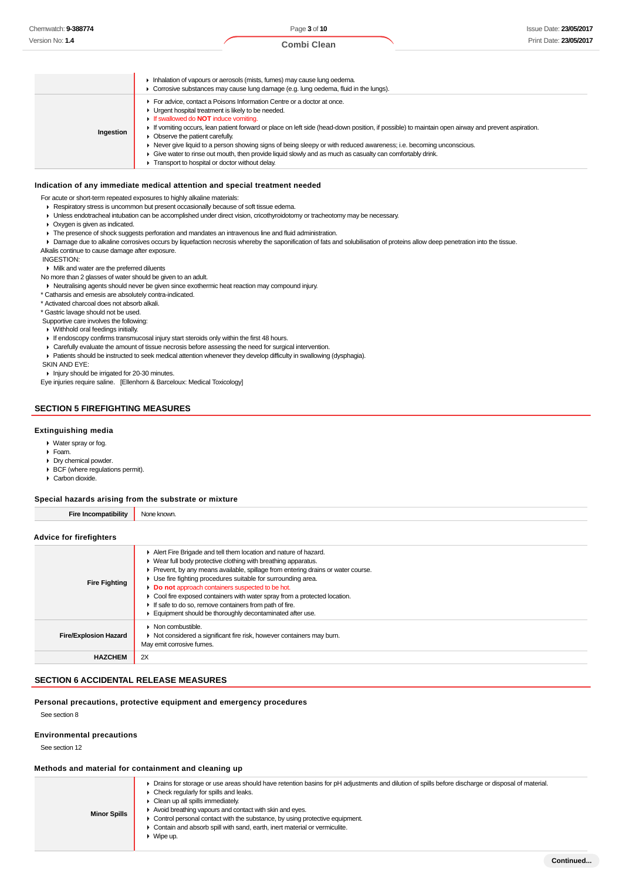|           | Inhalation of vapours or aerosols (mists, fumes) may cause lung oedema.<br>• Corrosive substances may cause lung damage (e.g. lung oedema, fluid in the lungs).                                                                                                                                                                                                                                                                                                                                                                                                                                                                                          |
|-----------|----------------------------------------------------------------------------------------------------------------------------------------------------------------------------------------------------------------------------------------------------------------------------------------------------------------------------------------------------------------------------------------------------------------------------------------------------------------------------------------------------------------------------------------------------------------------------------------------------------------------------------------------------------|
| Ingestion | For advice, contact a Poisons Information Centre or a doctor at once.<br>• Urgent hospital treatment is likely to be needed.<br>If swallowed do <b>NOT</b> induce vomiting.<br>If vomiting occurs, lean patient forward or place on left side (head-down position, if possible) to maintain open airway and prevent aspiration.<br>• Observe the patient carefully.<br>► Never give liquid to a person showing signs of being sleepy or with reduced awareness; i.e. becoming unconscious.<br>Give water to rinse out mouth, then provide liquid slowly and as much as casualty can comfortably drink.<br>Transport to hospital or doctor without delay. |

### **Indication of any immediate medical attention and special treatment needed**

For acute or short-term repeated exposures to highly alkaline materials:

Respiratory stress is uncommon but present occasionally because of soft tissue edema.

- Unless endotracheal intubation can be accomplished under direct vision, cricothyroidotomy or tracheotomy may be necessary.
- Oxygen is given as indicated.
- $\blacktriangleright$  The presence of shock suggests perforation and mandates an intravenous line and fluid administration.
- > Damage due to alkaline corrosives occurs by liquefaction necrosis whereby the saponification of fats and solubilisation of proteins allow deep penetration into the tissue.
- Alkalis continue to cause damage after exposure.

#### INGESTION:

Milk and water are the preferred diluents

No more than 2 glasses of water should be given to an adult.

- Neutralising agents should never be given since exothermic heat reaction may compound injury.
- \* Catharsis and emesis are absolutely contra-indicated.

\* Activated charcoal does not absorb alkali.

\* Gastric lavage should not be used.

- Supportive care involves the following:
- Withhold oral feedings initially.
- If endoscopy confirms transmucosal injury start steroids only within the first 48 hours.
- Carefully evaluate the amount of tissue necrosis before assessing the need for surgical intervention.
- Patients should be instructed to seek medical attention whenever they develop difficulty in swallowing (dysphagia).
- SKIN AND EYE:

Injury should be irrigated for 20-30 minutes.

Eye injuries require saline. [Ellenhorn & Barceloux: Medical Toxicology]

### **SECTION 5 FIREFIGHTING MEASURES**

#### **Extinguishing media**

- Water spray or fog.
- Foam.
- Dry chemical powder.
- BCF (where regulations permit).
- Carbon dioxide.

#### **Special hazards arising from the substrate or mixture**

| <b>Fire Incompatibility</b><br>None known.                     |                                                                                 |  |
|----------------------------------------------------------------|---------------------------------------------------------------------------------|--|
|                                                                |                                                                                 |  |
| Advice for firefighters                                        |                                                                                 |  |
|                                                                | Alert Fire Brigade and tell them location and nature of hazard.                 |  |
| • Wear full body protective clothing with breathing apparatus. |                                                                                 |  |
|                                                                | Prevent, by any means available, spillage from entering drains or water course. |  |

| <b>Fire Fighting</b>         | Use fire fighting procedures suitable for surrounding area.<br>Do not approach containers suspected to be hot.<br>• Cool fire exposed containers with water spray from a protected location.<br>If safe to do so, remove containers from path of fire.<br>Equipment should be thoroughly decontaminated after use. |
|------------------------------|--------------------------------------------------------------------------------------------------------------------------------------------------------------------------------------------------------------------------------------------------------------------------------------------------------------------|
| <b>Fire/Explosion Hazard</b> | Non combustible.<br>▶ Not considered a significant fire risk, however containers may burn.<br>May emit corrosive fumes.                                                                                                                                                                                            |
| <b>HAZCHEM</b>               | 2X                                                                                                                                                                                                                                                                                                                 |

#### **SECTION 6 ACCIDENTAL RELEASE MEASURES**

#### **Personal precautions, protective equipment and emergency procedures**

See section 8

#### **Environmental precautions**

See section 12

#### **Methods and material for containment and cleaning up**

| <b>Minor Spills</b> | • Drains for storage or use areas should have retention basins for pH adjustments and dilution of spills before discharge or disposal of material.<br>$\triangleright$ Check regularly for spills and leaks.<br>• Clean up all spills immediately.<br>Avoid breathing vapours and contact with skin and eyes.<br>• Control personal contact with the substance, by using protective equipment.<br>• Contain and absorb spill with sand, earth, inert material or vermiculite.<br>Wipe up. |
|---------------------|-------------------------------------------------------------------------------------------------------------------------------------------------------------------------------------------------------------------------------------------------------------------------------------------------------------------------------------------------------------------------------------------------------------------------------------------------------------------------------------------|
|---------------------|-------------------------------------------------------------------------------------------------------------------------------------------------------------------------------------------------------------------------------------------------------------------------------------------------------------------------------------------------------------------------------------------------------------------------------------------------------------------------------------------|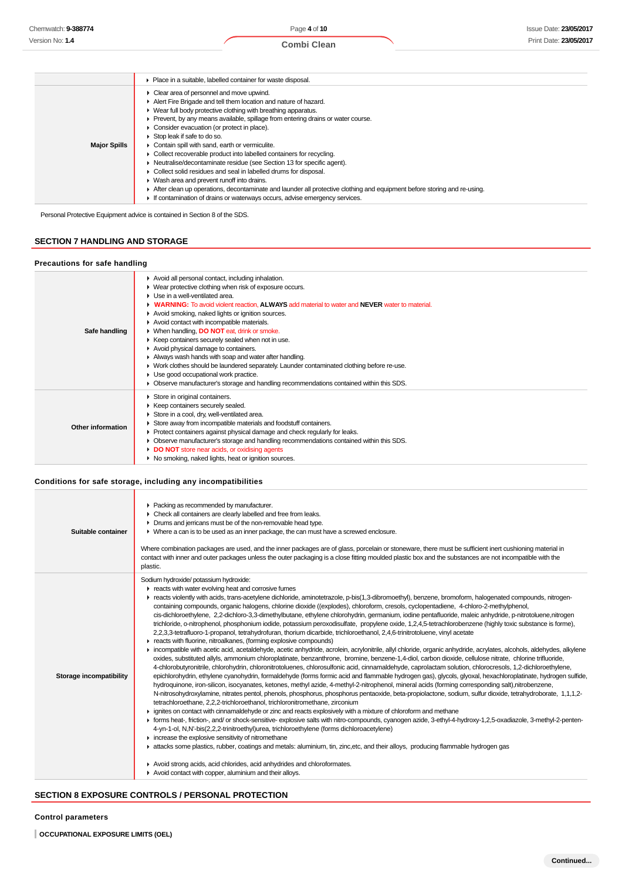|                     | • Place in a suitable, labelled container for waste disposal.                                                                                                                                                                                                                                                                                                                                                                                                                                                                                                                                                                                                                                                                                                                                                                                                              |  |  |
|---------------------|----------------------------------------------------------------------------------------------------------------------------------------------------------------------------------------------------------------------------------------------------------------------------------------------------------------------------------------------------------------------------------------------------------------------------------------------------------------------------------------------------------------------------------------------------------------------------------------------------------------------------------------------------------------------------------------------------------------------------------------------------------------------------------------------------------------------------------------------------------------------------|--|--|
| <b>Major Spills</b> | Clear area of personnel and move upwind.<br>Alert Fire Brigade and tell them location and nature of hazard.<br>• Wear full body protective clothing with breathing apparatus.<br>Prevent, by any means available, spillage from entering drains or water course.<br>Consider evacuation (or protect in place).<br>Stop leak if safe to do so.<br>Contain spill with sand, earth or vermiculite.<br>Collect recoverable product into labelled containers for recycling.<br>Neutralise/decontaminate residue (see Section 13 for specific agent).<br>Collect solid residues and seal in labelled drums for disposal.<br>• Wash area and prevent runoff into drains.<br>After clean up operations, decontaminate and launder all protective clothing and equipment before storing and re-using.<br>If contamination of drains or waterways occurs, advise emergency services. |  |  |

Personal Protective Equipment advice is contained in Section 8 of the SDS.

### **SECTION 7 HANDLING AND STORAGE**

### **Precautions for safe handling**

| Safe handling     | Avoid all personal contact, including inhalation.<br>• Wear protective clothing when risk of exposure occurs.<br>$\blacktriangleright$ Use in a well-ventilated area.<br><b>WARNING:</b> To avoid violent reaction. ALWAYS add material to water and NEVER water to material.<br>Avoid smoking, naked lights or ignition sources.<br>Avoid contact with incompatible materials.<br>▶ When handling, DO NOT eat, drink or smoke.<br>▶ Keep containers securely sealed when not in use.<br>Avoid physical damage to containers.<br>Always wash hands with soap and water after handling.<br>• Work clothes should be laundered separately. Launder contaminated clothing before re-use.<br>Use good occupational work practice.<br>• Observe manufacturer's storage and handling recommendations contained within this SDS. |
|-------------------|---------------------------------------------------------------------------------------------------------------------------------------------------------------------------------------------------------------------------------------------------------------------------------------------------------------------------------------------------------------------------------------------------------------------------------------------------------------------------------------------------------------------------------------------------------------------------------------------------------------------------------------------------------------------------------------------------------------------------------------------------------------------------------------------------------------------------|
| Other information | Store in original containers.<br>▶ Keep containers securely sealed.<br>Store in a cool, dry, well-ventilated area.<br>Store away from incompatible materials and foodstuff containers.<br>▶ Protect containers against physical damage and check regularly for leaks.<br>Observe manufacturer's storage and handling recommendations contained within this SDS.<br>DO NOT store near acids, or oxidising agents<br>• No smoking, naked lights, heat or ignition sources.                                                                                                                                                                                                                                                                                                                                                  |

### **Conditions for safe storage, including any incompatibilities**

| Suitable container      | • Packing as recommended by manufacturer.<br>• Check all containers are clearly labelled and free from leaks.<br>• Drums and jerricans must be of the non-removable head type.<br>▶ Where a can is to be used as an inner package, the can must have a screwed enclosure.<br>Where combination packages are used, and the inner packages are of glass, porcelain or stoneware, there must be sufficient inert cushioning material in<br>contact with inner and outer packages unless the outer packaging is a close fitting moulded plastic box and the substances are not incompatible with the<br>plastic.                                                                                                                                                                                                                                                                                                                                                                                                                                                                                                                                                                                                                                                                                                                                                                                                                                                                                                                                                                                                                                                                                                                                                                                                                                                                                                                                                                                                                                                                                                                                                                                                                                                                                                                                                                                                                                                                                                                                                                                                                                                                                                            |
|-------------------------|-------------------------------------------------------------------------------------------------------------------------------------------------------------------------------------------------------------------------------------------------------------------------------------------------------------------------------------------------------------------------------------------------------------------------------------------------------------------------------------------------------------------------------------------------------------------------------------------------------------------------------------------------------------------------------------------------------------------------------------------------------------------------------------------------------------------------------------------------------------------------------------------------------------------------------------------------------------------------------------------------------------------------------------------------------------------------------------------------------------------------------------------------------------------------------------------------------------------------------------------------------------------------------------------------------------------------------------------------------------------------------------------------------------------------------------------------------------------------------------------------------------------------------------------------------------------------------------------------------------------------------------------------------------------------------------------------------------------------------------------------------------------------------------------------------------------------------------------------------------------------------------------------------------------------------------------------------------------------------------------------------------------------------------------------------------------------------------------------------------------------------------------------------------------------------------------------------------------------------------------------------------------------------------------------------------------------------------------------------------------------------------------------------------------------------------------------------------------------------------------------------------------------------------------------------------------------------------------------------------------------------------------------------------------------------------------------------------------------|
| Storage incompatibility | Sodium hydroxide/ potassium hydroxide:<br>reacts with water evolving heat and corrosive fumes<br>F reacts violently with acids, trans-acetylene dichloride, aminotetrazole, p-bis(1,3-dibromoethyl), benzene, bromoform, halogenated compounds, nitrogen-<br>containing compounds, organic halogens, chlorine dioxide ((explodes), chloroform, cresols, cyclopentadiene, 4-chloro-2-methylphenol,<br>cis-dichloroethylene, 2,2-dichloro-3,3-dimethylbutane, ethylene chlorohydrin, germanium, iodine pentafluoride, maleic anhydride, p-nitrotoluene,nitrogen<br>trichloride, o-nitrophenol, phosphonium iodide, potassium peroxodisulfate, propylene oxide, 1,2,4,5-tetrachlorobenzene (highly toxic substance is forme),<br>2,2,3,3-tetrafluoro-1-propanol, tetrahydrofuran, thorium dicarbide, trichloroethanol, 2,4,6-trinitrotoluene, vinyl acetate<br>reacts with fluorine, nitroalkanes, (forming explosive compounds)<br>• incompatible with acetic acid, acetaldehyde, acetic anhydride, acrolein, acrylonitrile, allyl chloride, organic anhydride, acrylates, alcohols, aldehydes, alkylene<br>oxides, substituted allyls, ammonium chloroplatinate, benzanthrone, bromine, benzene-1,4-diol, carbon dioxide, cellulose nitrate, chlorine trifluoride,<br>4-chlorobutyronitrile, chlorohydrin, chloronitrotoluenes, chlorosulfonic acid, cinnamaldehyde, caprolactam solution, chlorocresols, 1,2-dichloroethylene,<br>epichlorohydrin, ethylene cyanohydrin, formaldehyde (forms formic acid and flammable hydrogen gas), glycols, glyoxal, hexachloroplatinate, hydrogen sulfide,<br>hydroquinone, iron-silicon, isocyanates, ketones, methyl azide, 4-methyl-2-nitrophenol, mineral acids (forming corresponding salt),nitrobenzene,<br>N-nitrosohydroxylamine, nitrates pentol, phenols, phosphorus, phosphorus pentaoxide, beta-propiolactone, sodium, sulfur dioxide, tetrahydroborate, 1,1,1,2-<br>tetrachloroethane, 2,2,2-trichloroethanol, trichloronitromethane, zirconium<br>► ignites on contact with cinnamaldehyde or zinc and reacts explosively with a mixture of chloroform and methane<br>F forms heat-, friction-, and/ or shock-sensitive- explosive salts with nitro-compounds, cyanogen azide, 3-ethyl-4-hydroxy-1,2,5-oxadiazole, 3-methyl-2-penten-<br>4-yn-1-ol, N,N'-bis(2,2,2-trinitroethyl)urea, trichloroethylene (forms dichloroacetylene)<br>increase the explosive sensitivity of nitromethane<br>In attacks some plastics, rubber, coatings and metals: aluminium, tin, zinc, etc, and their alloys, producing flammable hydrogen gas<br>Avoid strong acids, acid chlorides, acid anhydrides and chloroformates.<br>Avoid contact with copper, aluminium and their alloys. |

### **SECTION 8 EXPOSURE CONTROLS / PERSONAL PROTECTION**

### **Control parameters**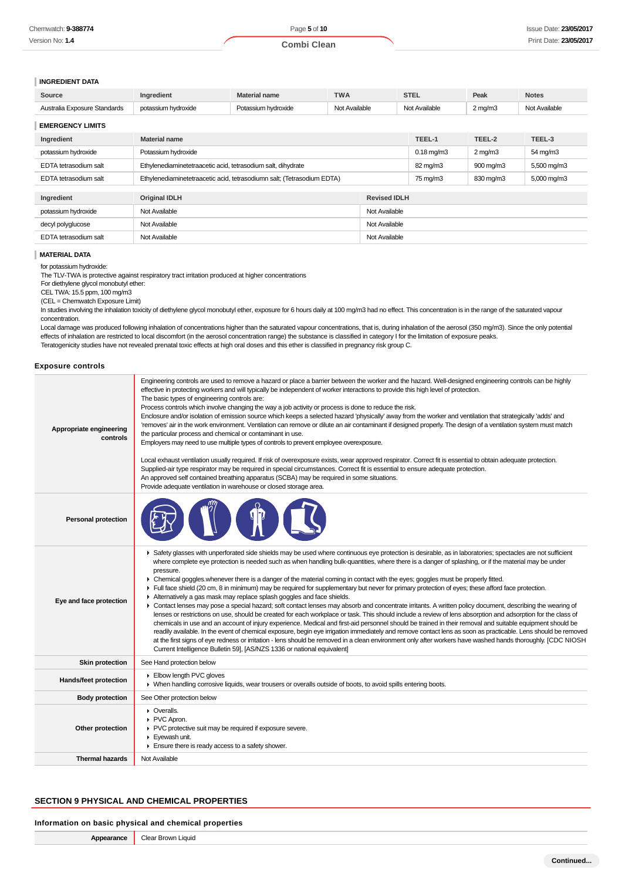#### **INGREDIENT DATA**

| Source                       | Inaredient          | Material name       | <b>TWA</b>    | <b>STEL</b>   | Peak               | <b>Notes</b>  |
|------------------------------|---------------------|---------------------|---------------|---------------|--------------------|---------------|
| Australia Exposure Standards | potassium hydroxide | Potassium hvdroxide | Not Available | Not Available | $2 \text{ ma/m}$ 3 | Not Available |

### **EMERGENCY LIMITS**

|  | - - - - - - - - - - - - - - - - - - - -                 |                                                                        |  |                 |                  |             |
|--|---------------------------------------------------------|------------------------------------------------------------------------|--|-----------------|------------------|-------------|
|  | Ingredient                                              | <b>Material name</b>                                                   |  | TEEL-1          | TEEL-2           | TEEL-3      |
|  | potassium hydroxide                                     | Potassium hydroxide                                                    |  | $0.18$ mg/m $3$ | $2 \text{ mg/m}$ | 54 mg/m3    |
|  | EDTA tetrasodium salt                                   | Ethylenediaminetetraacetic acid, tetrasodium salt, dihydrate           |  | 82 mg/m3        | 900 mg/m3        | 5,500 mg/m3 |
|  | EDTA tetrasodium salt                                   | Ethylenediaminetetraacetic acid, tetrasodiumn salt; (Tetrasodium EDTA) |  | 75 mg/m3        | 830 mg/m3        | 5,000 mg/m3 |
|  |                                                         |                                                                        |  |                 |                  |             |
|  | Ingredient                                              | <b>Original IDLH</b><br><b>Revised IDLH</b>                            |  |                 |                  |             |
|  | potassium hydroxide                                     | Not Available<br>Not Available                                         |  |                 |                  |             |
|  | Not Available<br>decyl polyglucose<br>Not Available     |                                                                        |  |                 |                  |             |
|  | Not Available<br>EDTA tetrasodium salt<br>Not Available |                                                                        |  |                 |                  |             |
|  |                                                         |                                                                        |  |                 |                  |             |

#### **MATERIAL DATA**

#### for potassium hydroxide:

The TLV-TWA is protective against respiratory tract irritation produced at higher concentrations

For diethylene glycol monobutyl ether:

CEL TWA: 15.5 ppm, 100 mg/m3

(CEL = Chemwatch Exposure Limit)

In studies involving the inhalation toxicity of diethylene glycol monobutyl ether, exposure for 6 hours daily at 100 mg/m3 had no effect. This concentration is in the range of the saturated vapour concentration.

Local damage was produced following inhalation of concentrations higher than the saturated vapour concentrations, that is, during inhalation of the aerosol (350 mg/m3). Since the only potential effects of inhalation are restricted to local discomfort (in the aerosol concentration range) the substance is classified in category I for the limitation of exposure peaks. Teratogenicity studies have not revealed prenatal toxic effects at high oral doses and this ether is classified in pregnancy risk group C.

#### **Exposure controls**

| Appropriate engineering<br>controls | Engineering controls are used to remove a hazard or place a barrier between the worker and the hazard. Well-designed engineering controls can be highly<br>effective in protecting workers and will typically be independent of worker interactions to provide this high level of protection.<br>The basic types of engineering controls are:<br>Process controls which involve changing the way a job activity or process is done to reduce the risk.<br>Enclosure and/or isolation of emission source which keeps a selected hazard 'physically' away from the worker and ventilation that strategically 'adds' and<br>'removes' air in the work environment. Ventilation can remove or dilute an air contaminant if designed properly. The design of a ventilation system must match<br>the particular process and chemical or contaminant in use.<br>Employers may need to use multiple types of controls to prevent employee overexposure.<br>Local exhaust ventilation usually required. If risk of overexposure exists, wear approved respirator. Correct fit is essential to obtain adequate protection.<br>Supplied-air type respirator may be required in special circumstances. Correct fit is essential to ensure adequate protection.<br>An approved self contained breathing apparatus (SCBA) may be required in some situations.<br>Provide adequate ventilation in warehouse or closed storage area.                                                                                                                                                                                   |  |  |  |
|-------------------------------------|--------------------------------------------------------------------------------------------------------------------------------------------------------------------------------------------------------------------------------------------------------------------------------------------------------------------------------------------------------------------------------------------------------------------------------------------------------------------------------------------------------------------------------------------------------------------------------------------------------------------------------------------------------------------------------------------------------------------------------------------------------------------------------------------------------------------------------------------------------------------------------------------------------------------------------------------------------------------------------------------------------------------------------------------------------------------------------------------------------------------------------------------------------------------------------------------------------------------------------------------------------------------------------------------------------------------------------------------------------------------------------------------------------------------------------------------------------------------------------------------------------------------------------------------------------------------------------------------------------|--|--|--|
| <b>Personal protection</b>          |                                                                                                                                                                                                                                                                                                                                                                                                                                                                                                                                                                                                                                                                                                                                                                                                                                                                                                                                                                                                                                                                                                                                                                                                                                                                                                                                                                                                                                                                                                                                                                                                        |  |  |  |
| Eye and face protection             | ▶ Safety glasses with unperforated side shields may be used where continuous eye protection is desirable, as in laboratories; spectacles are not sufficient<br>where complete eye protection is needed such as when handling bulk-quantities, where there is a danger of splashing, or if the material may be under<br>pressure.<br>• Chemical goggles whenever there is a danger of the material coming in contact with the eyes; goggles must be properly fitted.<br>Full face shield (20 cm, 8 in minimum) may be required for supplementary but never for primary protection of eyes; these afford face protection.<br>Alternatively a gas mask may replace splash goggles and face shields.<br>• Contact lenses may pose a special hazard; soft contact lenses may absorb and concentrate irritants. A written policy document, describing the wearing of<br>lenses or restrictions on use, should be created for each workplace or task. This should include a review of lens absorption and adsorption for the class of<br>chemicals in use and an account of injury experience. Medical and first-aid personnel should be trained in their removal and suitable equipment should be<br>readily available. In the event of chemical exposure, begin eye irrigation immediately and remove contact lens as soon as practicable. Lens should be removed<br>at the first signs of eye redness or irritation - lens should be removed in a clean environment only after workers have washed hands thoroughly. [CDC NIOSH<br>Current Intelligence Bulletin 59], [AS/NZS 1336 or national equivalent] |  |  |  |
| Skin protection                     | See Hand protection below                                                                                                                                                                                                                                                                                                                                                                                                                                                                                                                                                                                                                                                                                                                                                                                                                                                                                                                                                                                                                                                                                                                                                                                                                                                                                                                                                                                                                                                                                                                                                                              |  |  |  |
| Hands/feet protection               | Elbow length PVC gloves<br>• When handling corrosive liquids, wear trousers or overalls outside of boots, to avoid spills entering boots.                                                                                                                                                                                                                                                                                                                                                                                                                                                                                                                                                                                                                                                                                                                                                                                                                                                                                                                                                                                                                                                                                                                                                                                                                                                                                                                                                                                                                                                              |  |  |  |
| <b>Body protection</b>              | See Other protection below                                                                                                                                                                                                                                                                                                                                                                                                                                                                                                                                                                                                                                                                                                                                                                                                                                                                                                                                                                                                                                                                                                                                                                                                                                                                                                                                                                                                                                                                                                                                                                             |  |  |  |
| Other protection                    | • Overalls.<br>▶ PVC Apron.<br>▶ PVC protective suit may be required if exposure severe.<br>Eyewash unit.<br>Ensure there is ready access to a safety shower.                                                                                                                                                                                                                                                                                                                                                                                                                                                                                                                                                                                                                                                                                                                                                                                                                                                                                                                                                                                                                                                                                                                                                                                                                                                                                                                                                                                                                                          |  |  |  |
| <b>Thermal hazards</b>              | Not Available                                                                                                                                                                                                                                                                                                                                                                                                                                                                                                                                                                                                                                                                                                                                                                                                                                                                                                                                                                                                                                                                                                                                                                                                                                                                                                                                                                                                                                                                                                                                                                                          |  |  |  |

### **SECTION 9 PHYSICAL AND CHEMICAL PROPERTIES**

#### **Information on basic physical and chemical properties**

| Appearance | Clear Brown Liquid |
|------------|--------------------|
|------------|--------------------|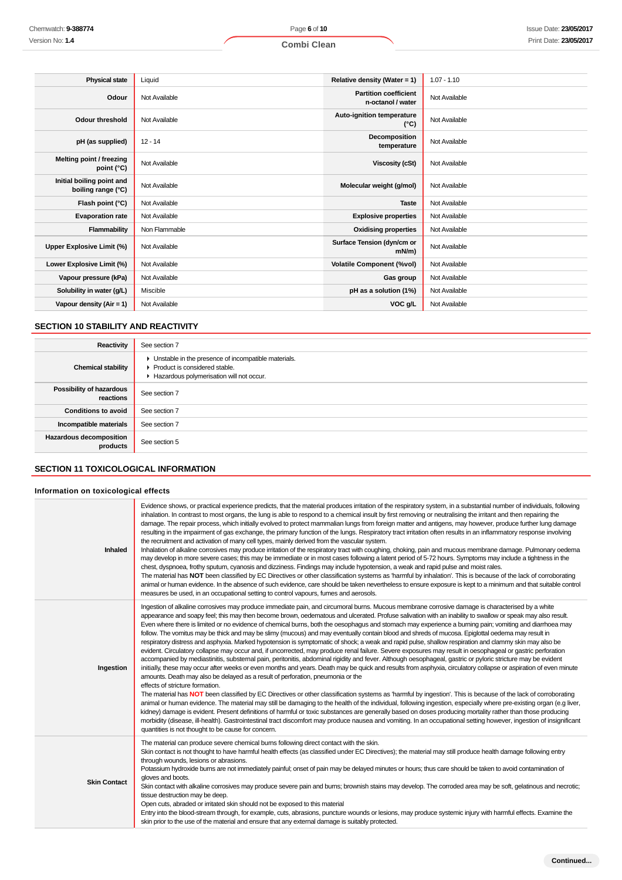| <b>Physical state</b>                           | Liquid        | Relative density (Water = 1)                      | $1.07 - 1.10$ |
|-------------------------------------------------|---------------|---------------------------------------------------|---------------|
| Odour                                           | Not Available | <b>Partition coefficient</b><br>n-octanol / water | Not Available |
| <b>Odour threshold</b>                          | Not Available | Auto-ignition temperature<br>$(^{\circ}C)$        | Not Available |
| pH (as supplied)                                | $12 - 14$     | Decomposition<br>temperature                      | Not Available |
| Melting point / freezing<br>point (°C)          | Not Available | Viscosity (cSt)                                   | Not Available |
| Initial boiling point and<br>boiling range (°C) | Not Available | Molecular weight (g/mol)                          | Not Available |
| Flash point (°C)                                | Not Available | <b>Taste</b>                                      | Not Available |
| <b>Evaporation rate</b>                         | Not Available | <b>Explosive properties</b>                       | Not Available |
| Flammability                                    | Non Flammable | <b>Oxidising properties</b>                       | Not Available |
| Upper Explosive Limit (%)                       | Not Available | Surface Tension (dyn/cm or<br>$mN/m$ )            | Not Available |
| Lower Explosive Limit (%)                       | Not Available | <b>Volatile Component (%vol)</b>                  | Not Available |
| Vapour pressure (kPa)                           | Not Available | Gas group                                         | Not Available |

**Solubility in water (g/L)** Miscible **pH as a solution (1%)** Not Available **pH as a solution (1%)** Not Available **Vapour density (Air = 1)** Not Available **VOC g/L** Not Available

### **SECTION 10 STABILITY AND REACTIVITY**

| Reactivity                                 | See section 7                                                                                                                      |
|--------------------------------------------|------------------------------------------------------------------------------------------------------------------------------------|
| <b>Chemical stability</b>                  | • Unstable in the presence of incompatible materials.<br>Product is considered stable.<br>Hazardous polymerisation will not occur. |
| Possibility of hazardous<br>reactions      | See section 7                                                                                                                      |
| <b>Conditions to avoid</b>                 | See section 7                                                                                                                      |
| Incompatible materials                     | See section 7                                                                                                                      |
| <b>Hazardous decomposition</b><br>products | See section 5                                                                                                                      |

### **SECTION 11 TOXICOLOGICAL INFORMATION**

### **Information on toxicological effects**

| Inhaled             | Evidence shows, or practical experience predicts, that the material produces irritation of the respiratory system, in a substantial number of individuals, following<br>inhalation. In contrast to most organs, the lung is able to respond to a chemical insult by first removing or neutralising the irritant and then repairing the<br>damage. The repair process, which initially evolved to protect mammalian lungs from foreign matter and antigens, may however, produce further lung damage<br>resulting in the impairment of gas exchange, the primary function of the lungs. Respiratory tract irritation often results in an inflammatory response involving<br>the recruitment and activation of many cell types, mainly derived from the vascular system.<br>Inhalation of alkaline corrosives may produce irritation of the respiratory tract with coughing, choking, pain and mucous membrane damage. Pulmonary oedema<br>may develop in more severe cases; this may be immediate or in most cases following a latent period of 5-72 hours. Symptoms may include a tightness in the<br>chest, dyspnoea, frothy sputum, cyanosis and dizziness. Findings may include hypotension, a weak and rapid pulse and moist rales.<br>The material has NOT been classified by EC Directives or other classification systems as 'harmful by inhalation'. This is because of the lack of corroborating<br>animal or human evidence. In the absence of such evidence, care should be taken nevertheless to ensure exposure is kept to a minimum and that suitable control<br>measures be used, in an occupational setting to control vapours, fumes and aerosols.                                                                                                                                                                                                                                                                                                                                                                                                                                                                           |
|---------------------|-----------------------------------------------------------------------------------------------------------------------------------------------------------------------------------------------------------------------------------------------------------------------------------------------------------------------------------------------------------------------------------------------------------------------------------------------------------------------------------------------------------------------------------------------------------------------------------------------------------------------------------------------------------------------------------------------------------------------------------------------------------------------------------------------------------------------------------------------------------------------------------------------------------------------------------------------------------------------------------------------------------------------------------------------------------------------------------------------------------------------------------------------------------------------------------------------------------------------------------------------------------------------------------------------------------------------------------------------------------------------------------------------------------------------------------------------------------------------------------------------------------------------------------------------------------------------------------------------------------------------------------------------------------------------------------------------------------------------------------------------------------------------------------------------------------------------------------------------------------------------------------------------------------------------------------------------------------------------------------------------------------------------------------------------------------------------------------------------------------------------------------------------|
| Ingestion           | Ingestion of alkaline corrosives may produce immediate pain, and circumoral burns. Mucous membrane corrosive damage is characterised by a white<br>appearance and soapy feel; this may then become brown, oedematous and ulcerated. Profuse salivation with an inability to swallow or speak may also result.<br>Even where there is limited or no evidence of chemical burns, both the oesophagus and stomach may experience a burning pain; vomiting and diarrhoea may<br>follow. The vomitus may be thick and may be slimy (mucous) and may eventually contain blood and shreds of mucosa. Epiglottal oedema may result in<br>respiratory distress and asphyxia. Marked hypotension is symptomatic of shock; a weak and rapid pulse, shallow respiration and clammy skin may also be<br>evident. Circulatory collapse may occur and, if uncorrected, may produce renal failure. Severe exposures may result in oesophageal or gastric perforation<br>accompanied by mediastinitis, substemal pain, peritonitis, abdominal rigidity and fever. Although oesophageal, gastric or pyloric stricture may be evident<br>initially, these may occur after weeks or even months and years. Death may be quick and results from asphyxia, circulatory collapse or aspiration of even minute<br>amounts. Death may also be delayed as a result of perforation, pneumonia or the<br>effects of stricture formation.<br>The material has NOT been classified by EC Directives or other classification systems as 'harmful by ingestion'. This is because of the lack of corroborating<br>animal or human evidence. The material may still be damaging to the health of the individual, following ingestion, especially where pre-existing organ (e.g liver,<br>kidney) damage is evident. Present definitions of harmful or toxic substances are generally based on doses producing mortality rather than those producing<br>morbidity (disease, ill-health). Gastrointestinal tract discomfort may produce nausea and vomiting. In an occupational setting however, ingestion of insignificant<br>quantities is not thought to be cause for concern. |
| <b>Skin Contact</b> | The material can produce severe chemical burns following direct contact with the skin.<br>Skin contact is not thought to have harmful health effects (as classified under EC Directives); the material may still produce health damage following entry<br>through wounds, lesions or abrasions.<br>Potassium hydroxide burns are not immediately painful; onset of pain may be delayed minutes or hours; thus care should be taken to avoid contamination of<br>gloves and boots.<br>Skin contact with alkaline corrosives may produce severe pain and burns; brownish stains may develop. The corroded area may be soft, gelatinous and necrotic;<br>tissue destruction may be deep.<br>Open cuts, abraded or irritated skin should not be exposed to this material<br>Entry into the blood-stream through, for example, cuts, abrasions, puncture wounds or lesions, may produce systemic injury with harmful effects. Examine the<br>skin prior to the use of the material and ensure that any external damage is suitably protected.                                                                                                                                                                                                                                                                                                                                                                                                                                                                                                                                                                                                                                                                                                                                                                                                                                                                                                                                                                                                                                                                                                      |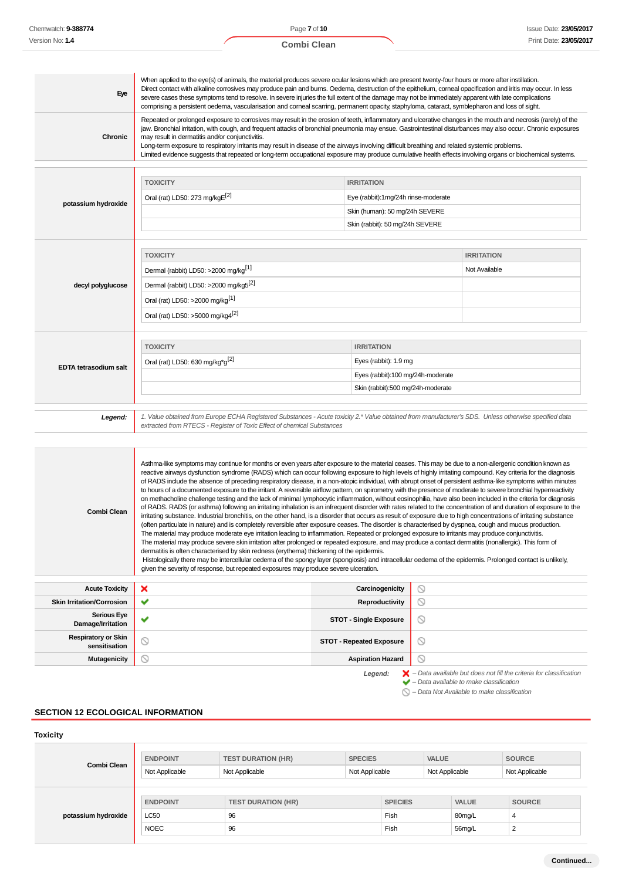| Eye                                         | When applied to the eye(s) of animals, the material produces severe ocular lesions which are present twenty-four hours or more after instillation.<br>Direct contact with alkaline corrosives may produce pain and burns. Oedema, destruction of the epithelium, corneal opacification and iritis may occur. In less<br>severe cases these symptoms tend to resolve. In severe injuries the full extent of the damage may not be immediately apparent with late complications<br>comprising a persistent oedema, vascularisation and comeal scarring, permanent opacity, staphyloma, cataract, symblepharon and loss of sight.                                                                                                                                                                                                                                                                                                                                                                                                                                                                                                                                                                                                                                                                                                                                                                                                                                                                                                                                                                                                                                                                                                                                                                                                         |                                     |                                                                                                                                                                                                                                                                                                                                 |
|---------------------------------------------|----------------------------------------------------------------------------------------------------------------------------------------------------------------------------------------------------------------------------------------------------------------------------------------------------------------------------------------------------------------------------------------------------------------------------------------------------------------------------------------------------------------------------------------------------------------------------------------------------------------------------------------------------------------------------------------------------------------------------------------------------------------------------------------------------------------------------------------------------------------------------------------------------------------------------------------------------------------------------------------------------------------------------------------------------------------------------------------------------------------------------------------------------------------------------------------------------------------------------------------------------------------------------------------------------------------------------------------------------------------------------------------------------------------------------------------------------------------------------------------------------------------------------------------------------------------------------------------------------------------------------------------------------------------------------------------------------------------------------------------------------------------------------------------------------------------------------------------|-------------------------------------|---------------------------------------------------------------------------------------------------------------------------------------------------------------------------------------------------------------------------------------------------------------------------------------------------------------------------------|
| Chronic                                     | may result in dermatitis and/or conjunctivitis.<br>Long-term exposure to respiratory irritants may result in disease of the airways involving difficult breathing and related systemic problems.<br>Limited evidence suggests that repeated or long-term occupational exposure may produce cumulative health effects involving organs or biochemical systems.                                                                                                                                                                                                                                                                                                                                                                                                                                                                                                                                                                                                                                                                                                                                                                                                                                                                                                                                                                                                                                                                                                                                                                                                                                                                                                                                                                                                                                                                          |                                     | Repeated or prolonged exposure to corrosives may result in the erosion of teeth, inflammatory and ulcerative changes in the mouth and necrosis (rarely) of the<br>jaw. Bronchial irritation, with cough, and frequent attacks of bronchial pneumonia may ensue. Gastrointestinal disturbances may also occur. Chronic exposures |
|                                             | <b>TOXICITY</b>                                                                                                                                                                                                                                                                                                                                                                                                                                                                                                                                                                                                                                                                                                                                                                                                                                                                                                                                                                                                                                                                                                                                                                                                                                                                                                                                                                                                                                                                                                                                                                                                                                                                                                                                                                                                                        | <b>IRRITATION</b>                   |                                                                                                                                                                                                                                                                                                                                 |
|                                             | Oral (rat) LD50: 273 mg/kgE <sup>[2]</sup>                                                                                                                                                                                                                                                                                                                                                                                                                                                                                                                                                                                                                                                                                                                                                                                                                                                                                                                                                                                                                                                                                                                                                                                                                                                                                                                                                                                                                                                                                                                                                                                                                                                                                                                                                                                             | Eye (rabbit):1mg/24h rinse-moderate |                                                                                                                                                                                                                                                                                                                                 |
| potassium hydroxide                         |                                                                                                                                                                                                                                                                                                                                                                                                                                                                                                                                                                                                                                                                                                                                                                                                                                                                                                                                                                                                                                                                                                                                                                                                                                                                                                                                                                                                                                                                                                                                                                                                                                                                                                                                                                                                                                        | Skin (human): 50 mg/24h SEVERE      |                                                                                                                                                                                                                                                                                                                                 |
|                                             |                                                                                                                                                                                                                                                                                                                                                                                                                                                                                                                                                                                                                                                                                                                                                                                                                                                                                                                                                                                                                                                                                                                                                                                                                                                                                                                                                                                                                                                                                                                                                                                                                                                                                                                                                                                                                                        | Skin (rabbit): 50 mg/24h SEVERE     |                                                                                                                                                                                                                                                                                                                                 |
|                                             |                                                                                                                                                                                                                                                                                                                                                                                                                                                                                                                                                                                                                                                                                                                                                                                                                                                                                                                                                                                                                                                                                                                                                                                                                                                                                                                                                                                                                                                                                                                                                                                                                                                                                                                                                                                                                                        |                                     |                                                                                                                                                                                                                                                                                                                                 |
|                                             | <b>TOXICITY</b><br>Dermal (rabbit) LD50: >2000 mg/kg <sup>[1]</sup>                                                                                                                                                                                                                                                                                                                                                                                                                                                                                                                                                                                                                                                                                                                                                                                                                                                                                                                                                                                                                                                                                                                                                                                                                                                                                                                                                                                                                                                                                                                                                                                                                                                                                                                                                                    |                                     | <b>IRRITATION</b><br>Not Available                                                                                                                                                                                                                                                                                              |
|                                             |                                                                                                                                                                                                                                                                                                                                                                                                                                                                                                                                                                                                                                                                                                                                                                                                                                                                                                                                                                                                                                                                                                                                                                                                                                                                                                                                                                                                                                                                                                                                                                                                                                                                                                                                                                                                                                        |                                     |                                                                                                                                                                                                                                                                                                                                 |
| decyl polyglucose                           | Dermal (rabbit) LD50: >2000 mg/kg5 <sup>[2]</sup>                                                                                                                                                                                                                                                                                                                                                                                                                                                                                                                                                                                                                                                                                                                                                                                                                                                                                                                                                                                                                                                                                                                                                                                                                                                                                                                                                                                                                                                                                                                                                                                                                                                                                                                                                                                      |                                     |                                                                                                                                                                                                                                                                                                                                 |
|                                             | Oral (rat) LD50: >2000 mg/kg <sup>[1]</sup>                                                                                                                                                                                                                                                                                                                                                                                                                                                                                                                                                                                                                                                                                                                                                                                                                                                                                                                                                                                                                                                                                                                                                                                                                                                                                                                                                                                                                                                                                                                                                                                                                                                                                                                                                                                            |                                     |                                                                                                                                                                                                                                                                                                                                 |
|                                             | Oral (rat) LD50: >5000 mg/kg4 <sup>[2]</sup>                                                                                                                                                                                                                                                                                                                                                                                                                                                                                                                                                                                                                                                                                                                                                                                                                                                                                                                                                                                                                                                                                                                                                                                                                                                                                                                                                                                                                                                                                                                                                                                                                                                                                                                                                                                           |                                     |                                                                                                                                                                                                                                                                                                                                 |
|                                             | <b>TOXICITY</b>                                                                                                                                                                                                                                                                                                                                                                                                                                                                                                                                                                                                                                                                                                                                                                                                                                                                                                                                                                                                                                                                                                                                                                                                                                                                                                                                                                                                                                                                                                                                                                                                                                                                                                                                                                                                                        | <b>IRRITATION</b>                   |                                                                                                                                                                                                                                                                                                                                 |
|                                             | Oral (rat) LD50: 630 mg/kg <sup>*g[2]</sup>                                                                                                                                                                                                                                                                                                                                                                                                                                                                                                                                                                                                                                                                                                                                                                                                                                                                                                                                                                                                                                                                                                                                                                                                                                                                                                                                                                                                                                                                                                                                                                                                                                                                                                                                                                                            | Eyes (rabbit): 1.9 mg               |                                                                                                                                                                                                                                                                                                                                 |
| <b>EDTA tetrasodium salt</b>                |                                                                                                                                                                                                                                                                                                                                                                                                                                                                                                                                                                                                                                                                                                                                                                                                                                                                                                                                                                                                                                                                                                                                                                                                                                                                                                                                                                                                                                                                                                                                                                                                                                                                                                                                                                                                                                        | Eyes (rabbit):100 mg/24h-moderate   |                                                                                                                                                                                                                                                                                                                                 |
|                                             |                                                                                                                                                                                                                                                                                                                                                                                                                                                                                                                                                                                                                                                                                                                                                                                                                                                                                                                                                                                                                                                                                                                                                                                                                                                                                                                                                                                                                                                                                                                                                                                                                                                                                                                                                                                                                                        | Skin (rabbit):500 mg/24h-moderate   |                                                                                                                                                                                                                                                                                                                                 |
| Legend:                                     | 1. Value obtained from Europe ECHA Registered Substances - Acute toxicity 2.* Value obtained from manufacturer's SDS. Unless otherwise specified data<br>extracted from RTECS - Register of Toxic Effect of chemical Substances                                                                                                                                                                                                                                                                                                                                                                                                                                                                                                                                                                                                                                                                                                                                                                                                                                                                                                                                                                                                                                                                                                                                                                                                                                                                                                                                                                                                                                                                                                                                                                                                        |                                     |                                                                                                                                                                                                                                                                                                                                 |
|                                             |                                                                                                                                                                                                                                                                                                                                                                                                                                                                                                                                                                                                                                                                                                                                                                                                                                                                                                                                                                                                                                                                                                                                                                                                                                                                                                                                                                                                                                                                                                                                                                                                                                                                                                                                                                                                                                        |                                     |                                                                                                                                                                                                                                                                                                                                 |
| Combi Clean                                 | Asthma-like symptoms may continue for months or even years after exposure to the material ceases. This may be due to a non-allergenic condition known as<br>reactive airways dysfunction syndrome (RADS) which can occur following exposure to high levels of highly irritating compound. Key criteria for the diagnosis<br>of RADS include the absence of preceding respiratory disease, in a non-atopic individual, with abrupt onset of persistent asthma-like symptoms within minutes<br>to hours of a documented exposure to the irritant. A reversible airflow pattern, on spirometry, with the presence of moderate to severe bronchial hyperreactivity<br>on methacholine challenge testing and the lack of minimal lymphocytic inflammation, without eosinophilia, have also been included in the criteria for diagnosis<br>irritating substance. Industrial bronchitis, on the other hand, is a disorder that occurs as result of exposure due to high concentrations of irritating substance<br>(often particulate in nature) and is completely reversible after exposure ceases. The disorder is characterised by dyspnea, cough and mucus production.<br>The material may produce moderate eye irritation leading to inflammation. Repeated or prolonged exposure to irritants may produce conjunctivitis.<br>The material may produce severe skin irritation after prolonged or repeated exposure, and may produce a contact dermatitis (nonallergic). This form of<br>dermatitis is often characterised by skin redness (erythema) thickening of the epidermis.<br>Histologically there may be intercellular oedema of the spongy layer (spongiosis) and intracellular oedema of the epidermis. Prolonged contact is unlikely,<br>given the severity of response, but repeated exposures may produce severe ulceration. |                                     | of RADS. RADS (or asthma) following an irritating inhalation is an infrequent disorder with rates related to the concentration of and duration of exposure to the                                                                                                                                                               |
|                                             |                                                                                                                                                                                                                                                                                                                                                                                                                                                                                                                                                                                                                                                                                                                                                                                                                                                                                                                                                                                                                                                                                                                                                                                                                                                                                                                                                                                                                                                                                                                                                                                                                                                                                                                                                                                                                                        |                                     |                                                                                                                                                                                                                                                                                                                                 |
| <b>Acute Toxicity</b>                       | ×                                                                                                                                                                                                                                                                                                                                                                                                                                                                                                                                                                                                                                                                                                                                                                                                                                                                                                                                                                                                                                                                                                                                                                                                                                                                                                                                                                                                                                                                                                                                                                                                                                                                                                                                                                                                                                      | Carcinogenicity                     | ∾                                                                                                                                                                                                                                                                                                                               |
| <b>Skin Irritation/Corrosion</b>            | ✔                                                                                                                                                                                                                                                                                                                                                                                                                                                                                                                                                                                                                                                                                                                                                                                                                                                                                                                                                                                                                                                                                                                                                                                                                                                                                                                                                                                                                                                                                                                                                                                                                                                                                                                                                                                                                                      | Reproductivity                      | $\circ$                                                                                                                                                                                                                                                                                                                         |
| <b>Serious Eye</b><br>Damage/Irritation     | ✔                                                                                                                                                                                                                                                                                                                                                                                                                                                                                                                                                                                                                                                                                                                                                                                                                                                                                                                                                                                                                                                                                                                                                                                                                                                                                                                                                                                                                                                                                                                                                                                                                                                                                                                                                                                                                                      | <b>STOT - Single Exposure</b>       | $\circledcirc$                                                                                                                                                                                                                                                                                                                  |
| <b>Respiratory or Skin</b><br>sensitisation | ◎                                                                                                                                                                                                                                                                                                                                                                                                                                                                                                                                                                                                                                                                                                                                                                                                                                                                                                                                                                                                                                                                                                                                                                                                                                                                                                                                                                                                                                                                                                                                                                                                                                                                                                                                                                                                                                      | <b>STOT - Repeated Exposure</b>     | $\circ$                                                                                                                                                                                                                                                                                                                         |
| <b>Mutagenicity</b>                         | ◎                                                                                                                                                                                                                                                                                                                                                                                                                                                                                                                                                                                                                                                                                                                                                                                                                                                                                                                                                                                                                                                                                                                                                                                                                                                                                                                                                                                                                                                                                                                                                                                                                                                                                                                                                                                                                                      | <b>Aspiration Hazard</b>            | $\circ$                                                                                                                                                                                                                                                                                                                         |

### **SECTION 12 ECOLOGICAL INFORMATION**

### **Toxicity**

| Combi Clean         | <b>ENDPOINT</b> | <b>TEST DURATION (HR)</b> | <b>SPECIES</b> |                | <b>VALUE</b>   |              | <b>SOURCE</b>  |
|---------------------|-----------------|---------------------------|----------------|----------------|----------------|--------------|----------------|
|                     | Not Applicable  | Not Applicable            | Not Applicable |                | Not Applicable |              | Not Applicable |
|                     |                 |                           |                |                |                |              |                |
|                     | <b>ENDPOINT</b> | <b>TEST DURATION (HR)</b> |                | <b>SPECIES</b> |                | <b>VALUE</b> | <b>SOURCE</b>  |
| potassium hydroxide | <b>LC50</b>     | 96                        |                | Fish           |                | 80mg/L       | 4              |
|                     | <b>NOEC</b>     | 96                        |                | Fish           |                | 56mg/L       | $\sim$         |
|                     |                 |                           |                |                |                |              |                |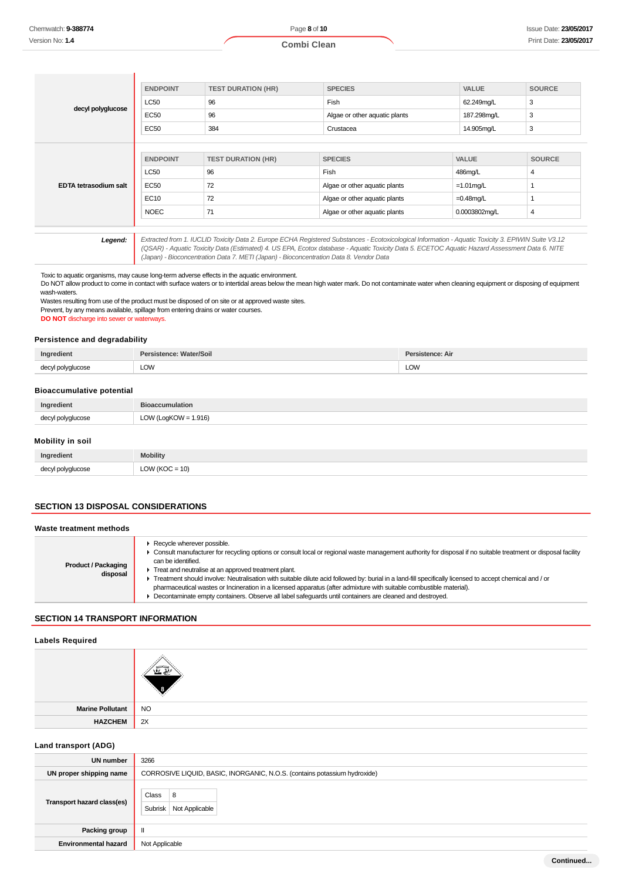|                              | <b>ENDPOINT</b> | <b>TEST DURATION (HR)</b> | <b>SPECIES</b>                | <b>VALUE</b>  | <b>SOURCE</b>  |
|------------------------------|-----------------|---------------------------|-------------------------------|---------------|----------------|
|                              | <b>LC50</b>     | 96                        | Fish                          | 62.249mg/L    | 3              |
| decyl polyglucose            | <b>EC50</b>     | 96                        | Algae or other aquatic plants | 187.298mg/L   | 3              |
|                              | EC50            | 384                       | Crustacea                     | 14.905mg/L    | 3              |
|                              |                 |                           |                               |               |                |
|                              |                 |                           |                               |               |                |
|                              | <b>ENDPOINT</b> | <b>TEST DURATION (HR)</b> | <b>SPECIES</b>                | <b>VALUE</b>  | <b>SOURCE</b>  |
|                              | <b>LC50</b>     | 96                        | Fish                          | 486mg/L       | $\overline{4}$ |
| <b>EDTA tetrasodium salt</b> | EC50            | 72                        | Algae or other aquatic plants | $=1.01$ mg/L  |                |
|                              | EC10            | 72                        | Algae or other aquatic plants | $=0.48$ mg/L  |                |
|                              | <b>NOEC</b>     | 71                        | Algae or other aquatic plants | 0.0003802mg/L | 4              |
|                              |                 |                           |                               |               |                |

Legend: | Extracted from 1. IUCLID Toxicity Data 2. Europe ECHA Registered Substances - Ecotoxicological Information - Aquatic Toxicity 3. EPIWIN Suite V3.12 (QSAR) - Aquatic Toxicity Data (Estimated) 4. US EPA, Ecotox database - Aquatic Toxicity Data 5. ECETOC Aquatic Hazard Assessment Data 6. NITE (Japan) - Bioconcentration Data 7. METI (Japan) - Bioconcentration Data 8. Vendor Data

#### Toxic to aquatic organisms, may cause long-term adverse effects in the aquatic environment.

Do NOT allow product to come in contact with surface waters or to intertidal areas below the mean high water mark. Do not contaminate water when cleaning equipment or disposing of equipment wash-waters.

Wastes resulting from use of the product must be disposed of on site or at approved waste sites.

Prevent, by any means available, spillage from entering drains or water courses.

**DO NOT** discharge into sewer or waterways.

#### **Persistence and degradability**

| Ingredient                       | Persistence: Water/Soil | Persistence: Air |
|----------------------------------|-------------------------|------------------|
| decyl polyglucose                | LOW                     | <b>LOW</b>       |
| <b>Bioaccumulative potential</b> |                         |                  |

# **Ingredient Bioaccumulation** decyl polyglucose LOW (LogKOW = 1.916)

#### **Mobility in soil**

| Ingredient        | Mobility        |
|-------------------|-----------------|
| decyl polyglucose | $OW (KOC = 10)$ |

#### **SECTION 13 DISPOSAL CONSIDERATIONS**

| Waste treatment methods                |                                                                                                                                                                                                                                                                                                                                                                                                                                                                                                                                                                                                                                                                           |
|----------------------------------------|---------------------------------------------------------------------------------------------------------------------------------------------------------------------------------------------------------------------------------------------------------------------------------------------------------------------------------------------------------------------------------------------------------------------------------------------------------------------------------------------------------------------------------------------------------------------------------------------------------------------------------------------------------------------------|
| <b>Product / Packaging</b><br>disposal | Recycle wherever possible.<br>• Consult manufacturer for recycling options or consult local or regional waste management authority for disposal if no suitable treatment or disposal facility<br>can be identified.<br>Treat and neutralise at an approved treatment plant.<br>Treatment should involve: Neutralisation with suitable dilute acid followed by: burial in a land-fill specifically licensed to accept chemical and / or<br>pharmaceutical wastes or Incineration in a licensed apparatus (after admixture with suitable combustible material).<br>Decontaminate empty containers. Observe all label safequards until containers are cleaned and destroyed. |

#### **SECTION 14 TRANSPORT INFORMATION**

#### **Labels Required**

| Marine Pollutant | <b>NO</b> |
|------------------|-----------|
| <b>HAZCHEM</b>   | 2X        |
| $\frac{1}{2}$    |           |

| Laliu trafisport (ADG)      |                                                                           |
|-----------------------------|---------------------------------------------------------------------------|
| <b>UN number</b>            | 3266                                                                      |
| UN proper shipping name     | CORROSIVE LIQUID, BASIC, INORGANIC, N.O.S. (contains potassium hydroxide) |
| Transport hazard class(es)  | <b>Class</b><br>8<br>Not Applicable<br>Subrisk                            |
| Packing group               |                                                                           |
| <b>Environmental hazard</b> | Not Applicable                                                            |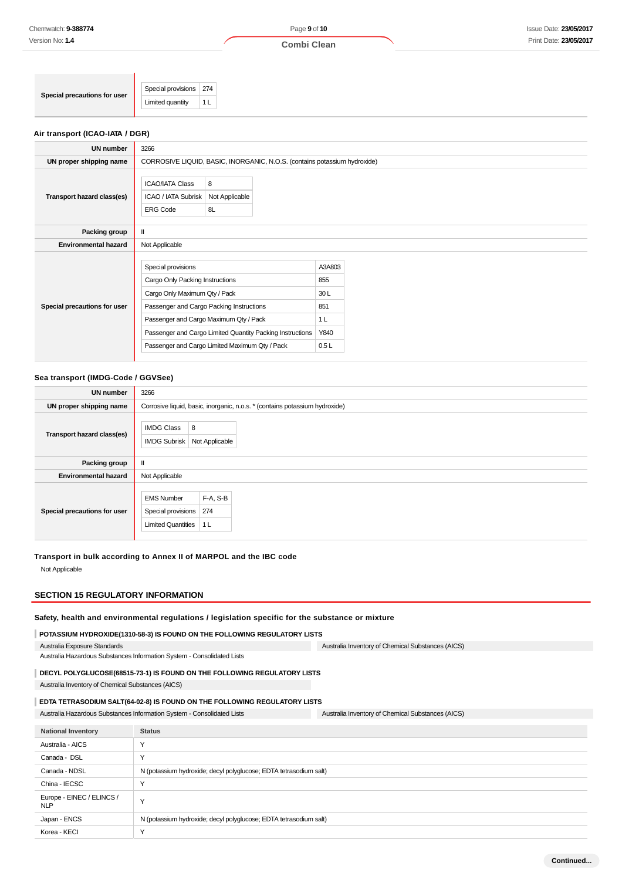**Combi Clean**

| Special precautions for user | Special provisions   274 |    |
|------------------------------|--------------------------|----|
|                              | Limited quantity         | -- |

### **Air transport (ICAO-IATA / DGR)**

| <b>UN number</b>             | 3266                                                                                                                                                                                                                                                                                        |                           |                                                               |  |  |
|------------------------------|---------------------------------------------------------------------------------------------------------------------------------------------------------------------------------------------------------------------------------------------------------------------------------------------|---------------------------|---------------------------------------------------------------|--|--|
| UN proper shipping name      | CORROSIVE LIQUID, BASIC, INORGANIC, N.O.S. (contains potassium hydroxide)                                                                                                                                                                                                                   |                           |                                                               |  |  |
| Transport hazard class(es)   | <b>ICAO/IATA Class</b><br>ICAO / IATA Subrisk<br><b>ERG Code</b>                                                                                                                                                                                                                            | 8<br>Not Applicable<br>8L |                                                               |  |  |
| Packing group                | $\mathbf{I}$                                                                                                                                                                                                                                                                                |                           |                                                               |  |  |
| <b>Environmental hazard</b>  | Not Applicable                                                                                                                                                                                                                                                                              |                           |                                                               |  |  |
| Special precautions for user | Special provisions<br>Cargo Only Packing Instructions<br>Cargo Only Maximum Qty / Pack<br>Passenger and Cargo Packing Instructions<br>Passenger and Cargo Maximum Qty / Pack<br>Passenger and Cargo Limited Quantity Packing Instructions<br>Passenger and Cargo Limited Maximum Qty / Pack |                           | A3A803<br>855<br>30L<br>851<br>1 <sub>L</sub><br>Y840<br>0.5L |  |  |

#### **Sea transport (IMDG-Code / GGVSee)**

| <b>UN number</b>             | 3266                                                                                                      |  |  |
|------------------------------|-----------------------------------------------------------------------------------------------------------|--|--|
| UN proper shipping name      | Corrosive liquid, basic, inorganic, n.o.s. * (contains potassium hydroxide)                               |  |  |
| Transport hazard class(es)   | <b>IMDG Class</b><br>8<br>Not Applicable<br><b>IMDG Subrisk</b>                                           |  |  |
| Packing group                |                                                                                                           |  |  |
| <b>Environmental hazard</b>  | Not Applicable                                                                                            |  |  |
| Special precautions for user | F-A, S-B<br><b>EMS Number</b><br>274<br>Special provisions<br><b>Limited Quantities</b><br>1 <sub>L</sub> |  |  |

### **Transport in bulk according to Annex II of MARPOL and the IBC code**

Not Applicable

#### **SECTION 15 REGULATORY INFORMATION**

### **Safety, health and environmental regulations / legislation specific for the substance or mixture**

#### **POTASSIUM HYDROXIDE(1310-58-3) IS FOUND ON THE FOLLOWING REGULATORY LISTS**

Australia Exposure Standards Australia Hazardous Substances Information System - Consolidated Lists Australia Inventory of Chemical Substances (AICS)

# **DECYL POLYGLUCOSE(68515-73-1) IS FOUND ON THE FOLLOWING REGULATORY LISTS**

Australia Inventory of Chemical Substances (AICS)

## **EDTA TETRASODIUM SALT(64-02-8) IS FOUND ON THE FOLLOWING REGULATORY LISTS**

| Australia Hazardous Substances Information System - Consolidated Lists |                                                                   | Australia Inventory of Chemical Substances (AICS) |  |
|------------------------------------------------------------------------|-------------------------------------------------------------------|---------------------------------------------------|--|
|                                                                        |                                                                   |                                                   |  |
| <b>National Inventory</b>                                              | <b>Status</b>                                                     |                                                   |  |
| Australia - AICS                                                       | Υ                                                                 |                                                   |  |
| Canada - DSL                                                           | Υ                                                                 |                                                   |  |
| Canada - NDSL                                                          | N (potassium hydroxide; decyl polyglucose; EDTA tetrasodium salt) |                                                   |  |
| China - IECSC                                                          | Υ                                                                 |                                                   |  |
| Europe - EINEC / ELINCS /<br><b>NLP</b>                                | Y                                                                 |                                                   |  |
| Japan - ENCS                                                           | N (potassium hydroxide; decyl polyglucose; EDTA tetrasodium salt) |                                                   |  |
| Korea - KECI                                                           | Y                                                                 |                                                   |  |
|                                                                        |                                                                   |                                                   |  |